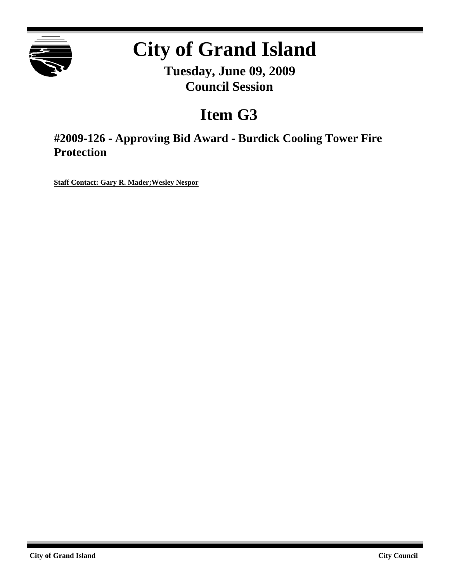

# **City of Grand Island**

**Tuesday, June 09, 2009 Council Session**

# **Item G3**

**#2009-126 - Approving Bid Award - Burdick Cooling Tower Fire Protection**

**Staff Contact: Gary R. Mader;Wesley Nespor**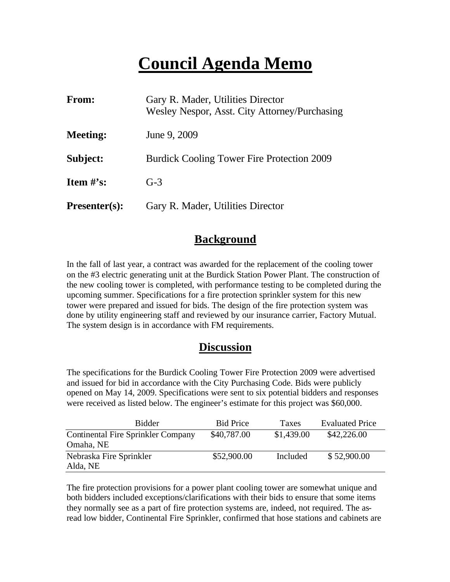# **Council Agenda Memo**

| From:                          | Gary R. Mader, Utilities Director<br>Wesley Nespor, Asst. City Attorney/Purchasing |
|--------------------------------|------------------------------------------------------------------------------------|
| <b>Meeting:</b>                | June 9, 2009                                                                       |
| Subject:                       | <b>Burdick Cooling Tower Fire Protection 2009</b>                                  |
| <b>Item <math>\#</math>'s:</b> | $G-3$                                                                              |
| <b>Presenter(s):</b>           | Gary R. Mader, Utilities Director                                                  |

### **Background**

In the fall of last year, a contract was awarded for the replacement of the cooling tower on the #3 electric generating unit at the Burdick Station Power Plant. The construction of the new cooling tower is completed, with performance testing to be completed during the upcoming summer. Specifications for a fire protection sprinkler system for this new tower were prepared and issued for bids. The design of the fire protection system was done by utility engineering staff and reviewed by our insurance carrier, Factory Mutual. The system design is in accordance with FM requirements.

### **Discussion**

The specifications for the Burdick Cooling Tower Fire Protection 2009 were advertised and issued for bid in accordance with the City Purchasing Code. Bids were publicly opened on May 14, 2009. Specifications were sent to six potential bidders and responses were received as listed below. The engineer's estimate for this project was \$60,000.

| Bidder                                    | <b>Bid Price</b> | <b>Taxes</b> | <b>Evaluated Price</b> |
|-------------------------------------------|------------------|--------------|------------------------|
| <b>Continental Fire Sprinkler Company</b> | \$40,787.00      | \$1,439.00   | \$42,226.00            |
| Omaha, NE                                 |                  |              |                        |
| Nebraska Fire Sprinkler                   | \$52,900.00      | Included     | \$52,900.00            |
| Alda, NE                                  |                  |              |                        |

The fire protection provisions for a power plant cooling tower are somewhat unique and both bidders included exceptions/clarifications with their bids to ensure that some items they normally see as a part of fire protection systems are, indeed, not required. The asread low bidder, Continental Fire Sprinkler, confirmed that hose stations and cabinets are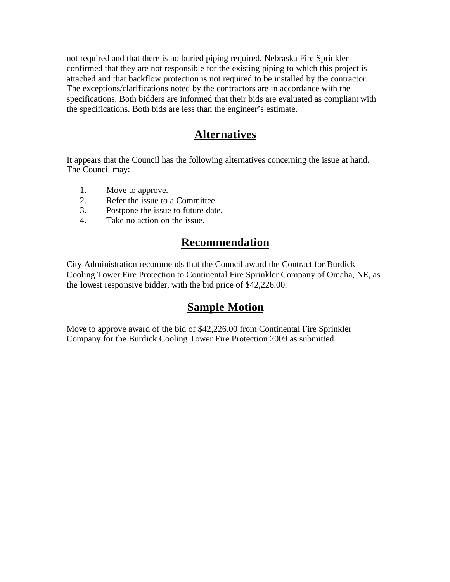not required and that there is no buried piping required. Nebraska Fire Sprinkler confirmed that they are not responsible for the existing piping to which this project is attached and that backflow protection is not required to be installed by the contractor. The exceptions/clarifications noted by the contractors are in accordance with the specifications. Both bidders are informed that their bids are evaluated as compliant with the specifications. Both bids are less than the engineer's estimate.

## **Alternatives**

It appears that the Council has the following alternatives concerning the issue at hand. The Council may:

- 1. Move to approve.
- 2. Refer the issue to a Committee.
- 3. Postpone the issue to future date.
- 4. Take no action on the issue.

## **Recommendation**

City Administration recommends that the Council award the Contract for Burdick Cooling Tower Fire Protection to Continental Fire Sprinkler Company of Omaha, NE, as the lowest responsive bidder, with the bid price of \$42,226.00.

# **Sample Motion**

Move to approve award of the bid of \$42,226.00 from Continental Fire Sprinkler Company for the Burdick Cooling Tower Fire Protection 2009 as submitted.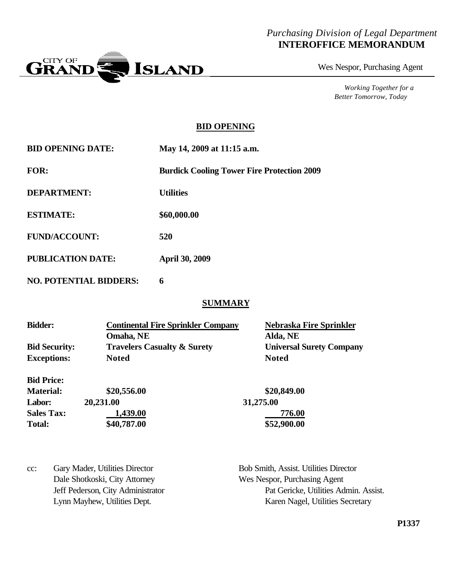#### *Purchasing Division of Legal Department* **INTEROFFICE MEMORANDUM**



Wes Nespor, Purchasing Agent

*Working Together for a Better Tomorrow, Today*

#### **BID OPENING**

| <b>BID OPENING DATE:</b>      | May 14, 2009 at 11:15 a.m.                        |
|-------------------------------|---------------------------------------------------|
| <b>FOR:</b>                   | <b>Burdick Cooling Tower Fire Protection 2009</b> |
| <b>DEPARTMENT:</b>            | <b>Utilities</b>                                  |
| <b>ESTIMATE:</b>              | \$60,000.00                                       |
| <b>FUND/ACCOUNT:</b>          | 520                                               |
| <b>PUBLICATION DATE:</b>      | <b>April 30, 2009</b>                             |
| <b>NO. POTENTIAL BIDDERS:</b> | 6                                                 |

#### **SUMMARY**

| <b>Bidder:</b>       | <b>Continental Fire Sprinkler Company</b> | <b>Nebraska Fire Sprinkler</b>  |
|----------------------|-------------------------------------------|---------------------------------|
|                      | Omaha, NE                                 | Alda, NE                        |
| <b>Bid Security:</b> | <b>Travelers Casualty &amp; Surety</b>    | <b>Universal Surety Company</b> |
| <b>Exceptions:</b>   | <b>Noted</b>                              | <b>Noted</b>                    |
| <b>Bid Price:</b>    |                                           |                                 |
| <b>Material:</b>     | \$20,556.00                               | \$20,849.00                     |
| Labor:               | 20,231.00                                 | 31,275.00                       |
| <b>Sales Tax:</b>    | 1,439.00                                  | 776.00                          |
| <b>Total:</b>        | \$40,787.00                               | \$52,900.00                     |

cc: Gary Mader, Utilities Director Bob Smith, Assist. Utilities Director Dale Shotkoski, City Attorney Wes Nespor, Purchasing Agent

Jeff Pederson, City Administrator Pat Gericke, Utilities Admin. Assist. Lynn Mayhew, Utilities Dept. Karen Nagel, Utilities Secretary